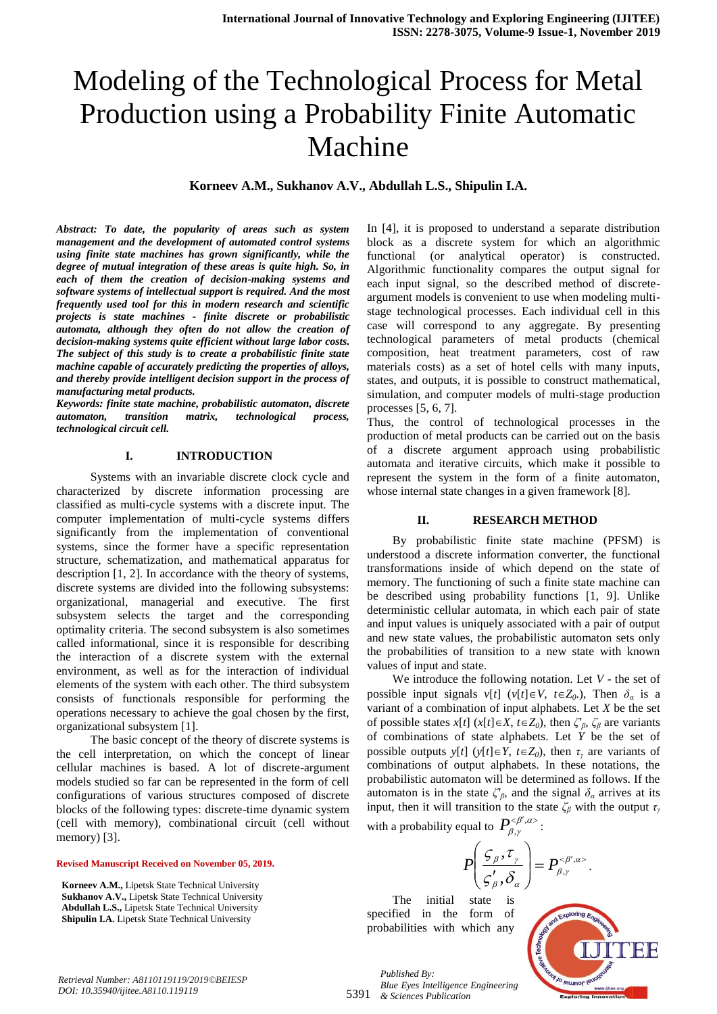# Modeling of the Technological Process for Metal Production using a Probability Finite Automatic Machine

**Korneev A.M., Sukhanov A.V., Abdullah L.S., Shipulin I.A.**

*Abstract: To date, the popularity of areas such as system management and the development of automated control systems using finite state machines has grown significantly, while the degree of mutual integration of these areas is quite high. So, in each of them the creation of decision-making systems and software systems of intellectual support is required. And the most frequently used tool for this in modern research and scientific projects is state machines - finite discrete or probabilistic automata, although they often do not allow the creation of decision-making systems quite efficient without large labor costs. The subject of this study is to create a probabilistic finite state machine capable of accurately predicting the properties of alloys, and thereby provide intelligent decision support in the process of manufacturing metal products.*

*Keywords: finite state machine, probabilistic automaton, discrete automaton, transition matrix, technological process, technological circuit cell.*

# **I. INTRODUCTION**

Systems with an invariable discrete clock cycle and characterized by discrete information processing are classified as multi-cycle systems with a discrete input. The computer implementation of multi-cycle systems differs significantly from the implementation of conventional systems, since the former have a specific representation structure, schematization, and mathematical apparatus for description [1, 2]. In accordance with the theory of systems, discrete systems are divided into the following subsystems: organizational, managerial and executive. The first subsystem selects the target and the corresponding optimality criteria. The second subsystem is also sometimes called informational, since it is responsible for describing the interaction of a discrete system with the external environment, as well as for the interaction of individual elements of the system with each other. The third subsystem consists of functionals responsible for performing the operations necessary to achieve the goal chosen by the first, organizational subsystem [1].

The basic concept of the theory of discrete systems is the cell interpretation, on which the concept of linear cellular machines is based. A lot of discrete-argument models studied so far can be represented in the form of cell configurations of various structures composed of discrete blocks of the following types: discrete-time dynamic system (cell with memory), combinational circuit (cell without memory) [3].

#### **Revised Manuscript Received on November 05, 2019.**

**Korneev A.M.,** Lipetsk State Technical University **Sukhanov A.V.,** Lipetsk State Technical University **Abdullah L.S.,** Lipetsk State Technical University **Shipulin I.A.** Lipetsk State Technical University

In [4], it is proposed to understand a separate distribution block as a discrete system for which an algorithmic functional (or analytical operator) is constructed. Algorithmic functionality compares the output signal for each input signal, so the described method of discreteargument models is convenient to use when modeling multistage technological processes. Each individual cell in this case will correspond to any aggregate. By presenting technological parameters of metal products (chemical composition, heat treatment parameters, cost of raw materials costs) as a set of hotel cells with many inputs, states, and outputs, it is possible to construct mathematical, simulation, and computer models of multi-stage production processes [5, 6, 7].

Thus, the control of technological processes in the production of metal products can be carried out on the basis of a discrete argument approach using probabilistic automata and iterative circuits, which make it possible to represent the system in the form of a finite automaton, whose internal state changes in a given framework [8].

#### **II. RESEARCH METHOD**

By probabilistic finite state machine (PFSM) is understood a discrete information converter, the functional transformations inside of which depend on the state of memory. The functioning of such a finite state machine can be described using probability functions [1, 9]. Unlike deterministic cellular automata, in which each pair of state and input values is uniquely associated with a pair of output and new state values, the probabilistic automaton sets only the probabilities of transition to a new state with known values of input and state.

We introduce the following notation. Let *V* - the set of possible input signals  $v[t]$  ( $v[t] \in V$ ,  $t \in Z_0$ ), Then  $\delta_a$  is a variant of a combination of input alphabets. Let *X* be the set of possible states *x*[*t*] (*x*[*t*] $\in X$ , *t* $\in Z_0$ ), then  $\zeta^r_\beta$ ,  $\zeta^{}_\beta$  are variants of combinations of state alphabets. Let *Y* be the set of possible outputs  $y[t]$  ( $y[t] \in Y$ ,  $t \in Z_0$ ), then  $\tau_y$  are variants of combinations of output alphabets. In these notations, the probabilistic automaton will be determined as follows. If the automaton is in the state  $\zeta_{\beta}$ , and the signal  $\delta_{\alpha}$  arrives at its input, then it will transition to the state  $\zeta_\beta$  with the output  $\tau_\gamma$ with a probability equal to  $P_{\alpha}^{\langle\beta',\alpha\rangle}$  $P_{\beta,\gamma}^{<\beta',\alpha>}$  :

$$
P\left(\frac{\zeta_{\beta},\tau_{\gamma}}{\zeta_{\beta}',\delta_{\alpha}}\right)=P_{\beta,\gamma}^{<\beta',\alpha>}.
$$

The initial state is specified in the form of probabilities with which any



5391 *Published By: Blue Eyes Intelligence Engineering & Sciences Publication*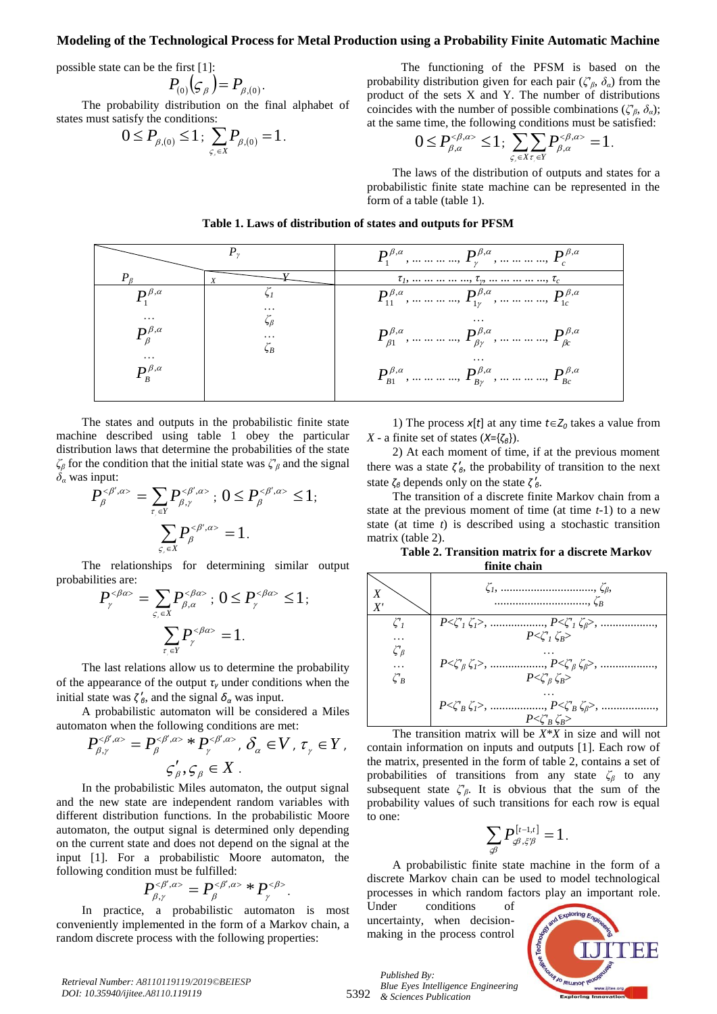# **Modeling of the Technological Process for Metal Production using a Probability Finite Automatic Machine**

possible state can be the first [1]:

$$
P_{(0)}(\mathcal{G}_{\beta})=P_{\beta,(0)}.
$$

The probability distribution on the final alphabet of states must satisfy the conditions:

$$
0 \le P_{\beta,(0)} \le 1 \, ; \, \sum_{\varsigma,\in X} P_{\beta,(0)} = 1 \, .
$$

The functioning of the PFSM is based on the probability distribution given for each pair ( $\zeta^{\prime}{}_{\beta}$ ,  $\delta_{\alpha}$ ) from the product of the sets X and Y. The number of distributions coincides with the number of possible combinations ( $\zeta'_{\beta}, \delta_{\alpha}$ ); at the same time, the following conditions must be satisfied:

$$
0 \le P_{\beta,\alpha}^{<\beta,\alpha>} \le 1; \sum_{\varsigma,\in X} \sum_{\tau,\in Y} P_{\beta,\alpha}^{<\beta,\alpha>} = 1.
$$

The laws of the distribution of outputs and states for a probabilistic finite state machine can be represented in the form of a table (table 1).

| Table 1. Laws of distribution of states and outputs for PFSM |  |  |
|--------------------------------------------------------------|--|--|
|--------------------------------------------------------------|--|--|

|                                                                                                                                                                   |                                   | $P_1^{\beta,\alpha},\dots \dots \dots \dots P_{\nu}^{\beta,\alpha},\dots \dots \dots \dots P_{\alpha}^{\beta,\alpha}$                                                                                                                                                                                                                                                |
|-------------------------------------------------------------------------------------------------------------------------------------------------------------------|-----------------------------------|----------------------------------------------------------------------------------------------------------------------------------------------------------------------------------------------------------------------------------------------------------------------------------------------------------------------------------------------------------------------|
| $P_R$                                                                                                                                                             |                                   | $\tau_1, \ldots \ldots \ldots \ldots \ldots, \tau_{\nu}, \ldots \ldots \ldots \ldots \ldots \tau_c$                                                                                                                                                                                                                                                                  |
| $P_{\cdot}^{\beta,\alpha}$<br>$\cdots$<br>$P_{\scriptscriptstyle R}^{\beta,\alpha}$<br>$\cdots$<br>$P_{\scriptscriptstyle\rm p}^{\scriptscriptstyle\beta,\alpha}$ | $\cdots$<br>$\cdots$<br>$\zeta_B$ | $P_{11}^{\beta,\alpha}$ ,   , $P_{1r}^{\beta,\alpha}$ ,   , $P_{1c}^{\beta,\alpha}$<br>$\cdots$<br>$P_{\beta_1}^{\beta,\alpha},\dots \dots \dots P_{\beta_{\nu}}^{\beta,\alpha},\dots \dots \dots P_{\beta_{\nu}}^{\beta,\alpha}$<br>$\cdots$<br>$P_{B1}^{\beta,\alpha},\dots \dots \dots \dots P_{Br}^{\beta,\alpha},\dots \dots \dots \dots P_{Bc}^{\beta,\alpha}$ |

The states and outputs in the probabilistic finite state machine described using table 1 obey the particular distribution laws that determine the probabilities of the state *ζ<sup>β</sup>* for the condition that the initial state was *ζ'<sup>β</sup>* and the signal  $\delta$ <sup>*α*</sup> was input:

$$
P_{\beta}^{<\beta',\alpha>} = \sum_{\tau,\in Y} P_{\beta,\gamma}^{<\beta',\alpha>} ; 0 \le P_{\beta}^{<\beta',\alpha>} \le 1;
$$
  

$$
\sum_{\varsigma,\in X} P_{\beta}^{<\beta',\alpha>} = 1.
$$

The relationships for determining similar output probabilities are:

$$
P_{\gamma}^{<\beta\alpha>} = \sum_{\varsigma,\in X} P_{\beta,\alpha}^{<\beta\alpha>} ; 0 \le P_{\gamma}^{<\beta\alpha>} \le 1 ;
$$

$$
\sum_{\tau,\in Y} P_{\gamma}^{<\beta\alpha>} = 1.
$$

The last relations allow us to determine the probability of the appearance of the output  $\tau$ <sup>*γ*</sup> under conditions when the initial state was  $\zeta'_{\beta}$ , and the signal  $\delta_{\alpha}$  was input.

A probabilistic automaton will be considered a Miles automaton when the following conditions are met:

$$
P_{\beta,\gamma}^{<\beta',\alpha>} = P_{\beta}^{<\beta',\alpha>} * P_{\gamma}^{<\beta',\alpha>} , \delta_{\alpha} \in V, \tau_{\gamma} \in Y,
$$
  

$$
\zeta_{\beta}', \zeta_{\beta} \in X .
$$

In the probabilistic Miles automaton, the output signal and the new state are independent random variables with different distribution functions. In the probabilistic Moore automaton, the output signal is determined only depending on the current state and does not depend on the signal at the input [1]. For a probabilistic Moore automaton, the following condition must be fulfilled:

$$
P_{\beta,\gamma}^{<\beta',\alpha>} = P_{\beta}^{<\beta',\alpha>} * P_{\gamma}^{<\beta>}.
$$

In practice, a probabilistic automaton is most conveniently implemented in the form of a Markov chain, a random discrete process with the following properties:

1) The process  $x[t]$  at any time  $t \in Z_0$  takes a value from *X* - a finite set of states (*X*={*ζβ*}).

2) At each moment of time, if at the previous moment there was a state  $\zeta'_{\beta}$ , the probability of transition to the next state  $\zeta_{\beta}$  depends only on the state  $\zeta'_{\beta}$ .

The transition of a discrete finite Markov chain from a state at the previous moment of time (at time *t*-1) to a new state (at time *t*) is described using a stochastic transition matrix (table 2).

**Table 2. Transition matrix for a discrete Markov finite chain**



The transition matrix will be *X*\**X* in size and will not contain information on inputs and outputs [1]. Each row of the matrix, presented in the form of table 2, contains a set of probabilities of transitions from any state *ζ<sup>β</sup>* to any subsequent state  $\zeta'_{\beta}$ . It is obvious that the sum of the probability values of such transitions for each row is equal to one:

$$
\sum_{\mathcal{A}} P_{\mathcal{A}, \xi \mathcal{B}}^{[t-1,t]} = 1.
$$

A probabilistic finite state machine in the form of a discrete Markov chain can be used to model technological processes in which random factors play an important role.

Under conditions of uncertainty, when decisionmaking in the process control



5392 *Blue Eyes Intelligence Engineering & Sciences Publication* 

*Published By:*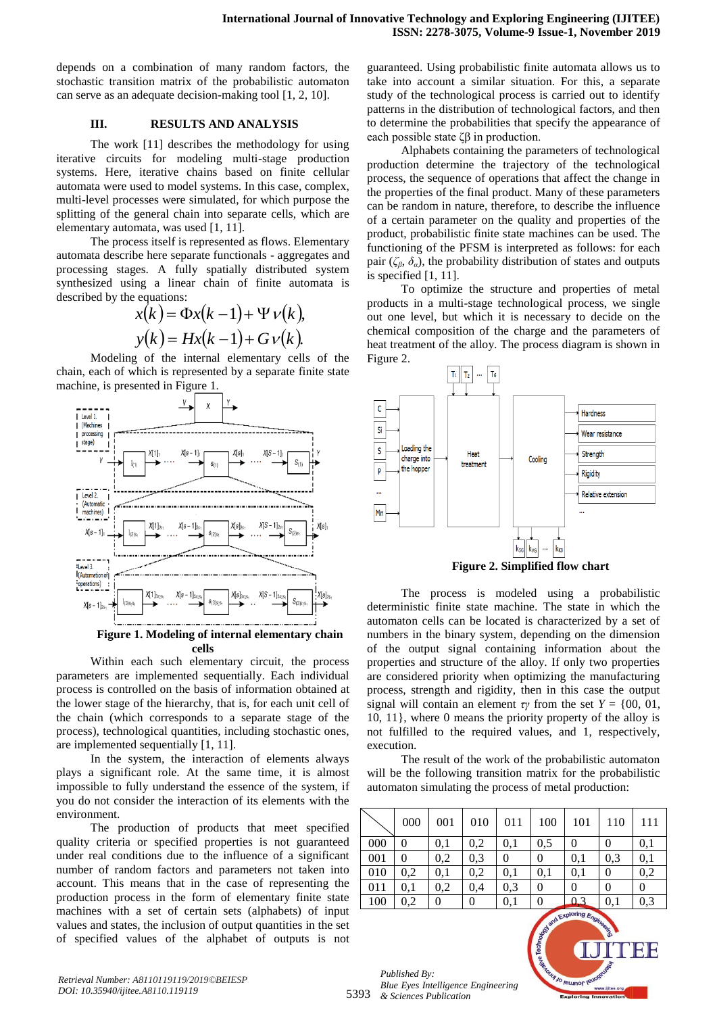depends on a combination of many random factors, the stochastic transition matrix of the probabilistic automaton can serve as an adequate decision-making tool [1, 2, 10].

## **III. RESULTS AND ANALYSIS**

The work [11] describes the methodology for using iterative circuits for modeling multi-stage production systems. Here, iterative chains based on finite cellular automata were used to model systems. In this case, complex, multi-level processes were simulated, for which purpose the splitting of the general chain into separate cells, which are elementary automata, was used [1, 11].

The process itself is represented as flows. Elementary automata describe here separate functionals - aggregates and processing stages. A fully spatially distributed system synthesized using a linear chain of finite automata is described by the equations:

$$
x(k) = \Phi x(k-1) + \Psi v(k),
$$
  

$$
y(k) = Hx(k-1) + Gv(k).
$$

Modeling of the internal elementary cells of the chain, each of which is represented by a separate finite state machine, is presented in Figure 1.



**Figure 1. Modeling of internal elementary chain cells**

Within each such elementary circuit, the process parameters are implemented sequentially. Each individual process is controlled on the basis of information obtained at the lower stage of the hierarchy, that is, for each unit cell of the chain (which corresponds to a separate stage of the process), technological quantities, including stochastic ones, are implemented sequentially [1, 11].

In the system, the interaction of elements always plays a significant role. At the same time, it is almost impossible to fully understand the essence of the system, if you do not consider the interaction of its elements with the environment.

The production of products that meet specified quality criteria or specified properties is not guaranteed under real conditions due to the influence of a significant number of random factors and parameters not taken into account. This means that in the case of representing the production process in the form of elementary finite state machines with a set of certain sets (alphabets) of input values and states, the inclusion of output quantities in the set of specified values of the alphabet of outputs is not

guaranteed. Using probabilistic finite automata allows us to take into account a similar situation. For this, a separate study of the technological process is carried out to identify patterns in the distribution of technological factors, and then to determine the probabilities that specify the appearance of each possible state  $\zeta\beta$  in production.

Alphabets containing the parameters of technological production determine the trajectory of the technological process, the sequence of operations that affect the change in the properties of the final product. Many of these parameters can be random in nature, therefore, to describe the influence of a certain parameter on the quality and properties of the product, probabilistic finite state machines can be used. The functioning of the PFSM is interpreted as follows: for each pair ( $\zeta_B$ ,  $\delta_a$ ), the probability distribution of states and outputs is specified [1, 11].

To optimize the structure and properties of metal products in a multi-stage technological process, we single out one level, but which it is necessary to decide on the chemical composition of the charge and the parameters of heat treatment of the alloy. The process diagram is shown in Figure 2.



**Figure 2. Simplified flow chart**

The process is modeled using a probabilistic deterministic finite state machine. The state in which the automaton cells can be located is characterized by a set of numbers in the binary system, depending on the dimension of the output signal containing information about the properties and structure of the alloy. If only two properties are considered priority when optimizing the manufacturing process, strength and rigidity, then in this case the output signal will contain an element  $\tau y$  from the set  $Y = \{00, 01,$ 10, 11}, where 0 means the priority property of the alloy is not fulfilled to the required values, and 1, respectively, execution.

The result of the work of the probabilistic automaton will be the following transition matrix for the probabilistic automaton simulating the process of metal production:

|     | 000 | 001 | 010 | 011            | 100 | 101 | 110 | 111      |
|-----|-----|-----|-----|----------------|-----|-----|-----|----------|
| 000 |     | 0.1 | 0,2 | 0.1            | 0.5 | 0   | 0   | 0,1      |
| 001 | 0   | 0,2 | 0,3 | $\overline{0}$ | 0   | 0,1 | 0,3 | 0,1      |
| 010 | 0,2 | 0.1 | 0,2 | 0,1            | 0,1 | 0,1 | 0   | 0,2      |
| 011 | 0.1 | 0,2 | 0,4 | 0.3            | 0   | 0   | 0   | $\Omega$ |
| 100 | 0,2 | 0   | 0   | 0,1            | 0   | 0,3 | 0,1 | 0,3      |

5393 *Published By: Blue Eyes Intelligence Engineering & Sciences Publication*